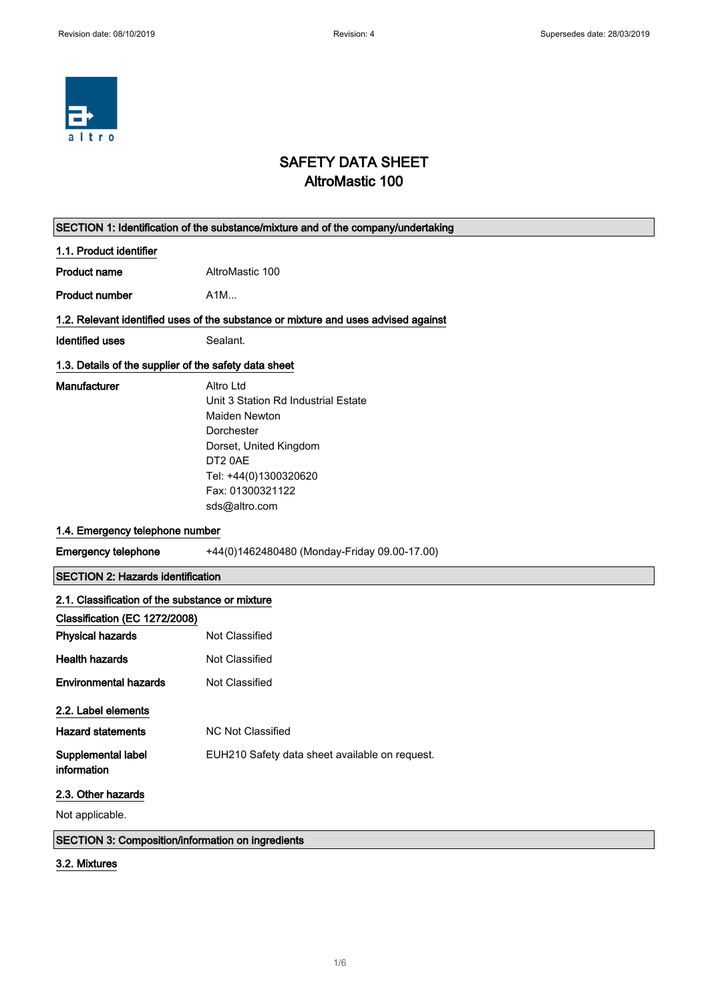

# SAFETY DATA SHEET AltroMastic 100

| SECTION 1: Identification of the substance/mixture and of the company/undertaking  |                                                                                                                                                                                    |  |
|------------------------------------------------------------------------------------|------------------------------------------------------------------------------------------------------------------------------------------------------------------------------------|--|
| 1.1. Product identifier                                                            |                                                                                                                                                                                    |  |
| <b>Product name</b>                                                                | AltroMastic 100                                                                                                                                                                    |  |
| <b>Product number</b>                                                              | A1M                                                                                                                                                                                |  |
| 1.2. Relevant identified uses of the substance or mixture and uses advised against |                                                                                                                                                                                    |  |
| <b>Identified uses</b>                                                             | Sealant.                                                                                                                                                                           |  |
| 1.3. Details of the supplier of the safety data sheet                              |                                                                                                                                                                                    |  |
| Manufacturer                                                                       | Altro Ltd<br>Unit 3 Station Rd Industrial Estate<br>Maiden Newton<br>Dorchester<br>Dorset, United Kingdom<br>DT2 0AE<br>Tel: +44(0)1300320620<br>Fax: 01300321122<br>sds@altro.com |  |
| 1.4. Emergency telephone number                                                    |                                                                                                                                                                                    |  |
| <b>Emergency telephone</b>                                                         | +44(0)1462480480 (Monday-Friday 09.00-17.00)                                                                                                                                       |  |
| <b>SECTION 2: Hazards identification</b>                                           |                                                                                                                                                                                    |  |
| 2.1. Classification of the substance or mixture                                    |                                                                                                                                                                                    |  |
| Classification (EC 1272/2008)                                                      |                                                                                                                                                                                    |  |
| <b>Physical hazards</b>                                                            | Not Classified                                                                                                                                                                     |  |
| <b>Health hazards</b>                                                              | <b>Not Classified</b>                                                                                                                                                              |  |
| <b>Environmental hazards</b>                                                       | Not Classified                                                                                                                                                                     |  |
| 2.2. Label elements                                                                |                                                                                                                                                                                    |  |
| <b>Hazard statements</b>                                                           | <b>NC Not Classified</b>                                                                                                                                                           |  |
| Supplemental label<br>information                                                  | EUH210 Safety data sheet available on request.                                                                                                                                     |  |
| 2.3. Other hazards                                                                 |                                                                                                                                                                                    |  |
| Not applicable.                                                                    |                                                                                                                                                                                    |  |
| SECTION 3: Composition/information on ingredients                                  |                                                                                                                                                                                    |  |

## 3.2. Mixtures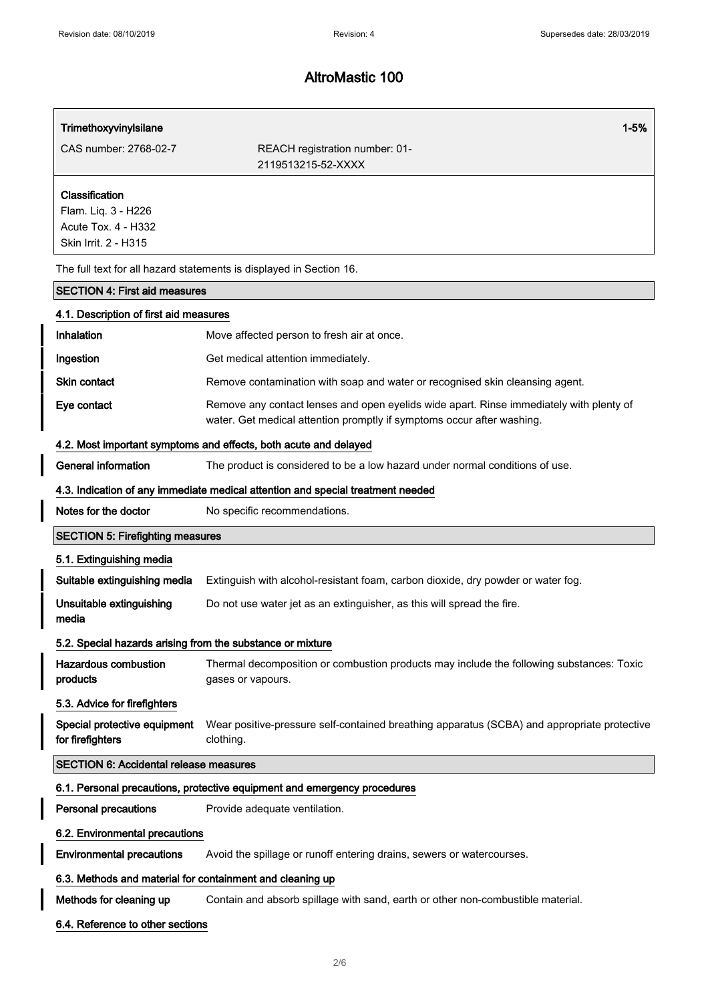$\overline{\phantom{a}}$ 

## AltroMastic 100

| Trimethoxyvinylsilane                                                                | $1 - 5%$                                                                                                                                                          |
|--------------------------------------------------------------------------------------|-------------------------------------------------------------------------------------------------------------------------------------------------------------------|
| CAS number: 2768-02-7                                                                | REACH registration number: 01-<br>2119513215-52-XXXX                                                                                                              |
| Classification<br>Flam. Liq. 3 - H226<br>Acute Tox. 4 - H332<br>Skin Irrit. 2 - H315 |                                                                                                                                                                   |
|                                                                                      | The full text for all hazard statements is displayed in Section 16.                                                                                               |
| <b>SECTION 4: First aid measures</b>                                                 |                                                                                                                                                                   |
| 4.1. Description of first aid measures                                               |                                                                                                                                                                   |
| Inhalation                                                                           | Move affected person to fresh air at once.                                                                                                                        |
| Ingestion                                                                            | Get medical attention immediately.                                                                                                                                |
| <b>Skin contact</b>                                                                  | Remove contamination with soap and water or recognised skin cleansing agent.                                                                                      |
| Eye contact                                                                          | Remove any contact lenses and open eyelids wide apart. Rinse immediately with plenty of<br>water. Get medical attention promptly if symptoms occur after washing. |
|                                                                                      | 4.2. Most important symptoms and effects, both acute and delayed                                                                                                  |
| General information                                                                  | The product is considered to be a low hazard under normal conditions of use.                                                                                      |
|                                                                                      | 4.3. Indication of any immediate medical attention and special treatment needed                                                                                   |
| Notes for the doctor                                                                 | No specific recommendations.                                                                                                                                      |
|                                                                                      |                                                                                                                                                                   |
| <b>SECTION 5: Firefighting measures</b>                                              |                                                                                                                                                                   |
| 5.1. Extinguishing media                                                             |                                                                                                                                                                   |
| Suitable extinguishing media                                                         | Extinguish with alcohol-resistant foam, carbon dioxide, dry powder or water fog.                                                                                  |
| Unsuitable extinguishing<br>media                                                    | Do not use water jet as an extinguisher, as this will spread the fire.                                                                                            |
| 5.2. Special hazards arising from the substance or mixture                           |                                                                                                                                                                   |
| <b>Hazardous combustion</b><br>products                                              | Thermal decomposition or combustion products may include the following substances: Toxic<br>gases or vapours.                                                     |
| 5.3. Advice for firefighters                                                         |                                                                                                                                                                   |
| Special protective equipment<br>for firefighters                                     | Wear positive-pressure self-contained breathing apparatus (SCBA) and appropriate protective<br>clothing.                                                          |
| <b>SECTION 6: Accidental release measures</b>                                        |                                                                                                                                                                   |
|                                                                                      | 6.1. Personal precautions, protective equipment and emergency procedures                                                                                          |
| <b>Personal precautions</b>                                                          | Provide adequate ventilation.                                                                                                                                     |
| 6.2. Environmental precautions                                                       |                                                                                                                                                                   |
| <b>Environmental precautions</b>                                                     | Avoid the spillage or runoff entering drains, sewers or watercourses.                                                                                             |
| 6.3. Methods and material for containment and cleaning up                            |                                                                                                                                                                   |
| Methods for cleaning up                                                              | Contain and absorb spillage with sand, earth or other non-combustible material.                                                                                   |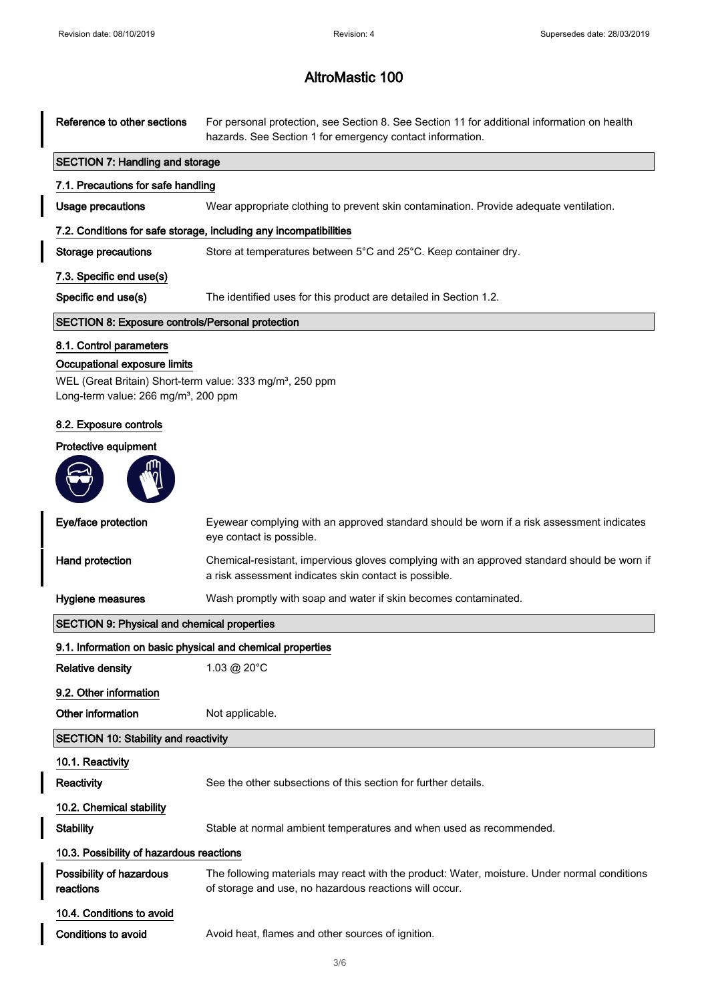$\overline{\phantom{a}}$ 

 $\overline{\phantom{a}}$ 

 $\mathbf l$ 

# AltroMastic 100

| Reference to other sections                                                                                               | For personal protection, see Section 8. See Section 11 for additional information on health<br>hazards. See Section 1 for emergency contact information. |  |
|---------------------------------------------------------------------------------------------------------------------------|----------------------------------------------------------------------------------------------------------------------------------------------------------|--|
| <b>SECTION 7: Handling and storage</b>                                                                                    |                                                                                                                                                          |  |
| 7.1. Precautions for safe handling                                                                                        |                                                                                                                                                          |  |
| <b>Usage precautions</b>                                                                                                  | Wear appropriate clothing to prevent skin contamination. Provide adequate ventilation.                                                                   |  |
|                                                                                                                           | 7.2. Conditions for safe storage, including any incompatibilities                                                                                        |  |
| Storage precautions                                                                                                       | Store at temperatures between 5°C and 25°C. Keep container dry.                                                                                          |  |
| 7.3. Specific end use(s)                                                                                                  |                                                                                                                                                          |  |
| Specific end use(s)                                                                                                       | The identified uses for this product are detailed in Section 1.2.                                                                                        |  |
| <b>SECTION 8: Exposure controls/Personal protection</b>                                                                   |                                                                                                                                                          |  |
| 8.1. Control parameters                                                                                                   |                                                                                                                                                          |  |
| Occupational exposure limits                                                                                              |                                                                                                                                                          |  |
| WEL (Great Britain) Short-term value: 333 mg/m <sup>3</sup> , 250 ppm<br>Long-term value: 266 mg/m <sup>3</sup> , 200 ppm |                                                                                                                                                          |  |
|                                                                                                                           |                                                                                                                                                          |  |
| 8.2. Exposure controls                                                                                                    |                                                                                                                                                          |  |
| Protective equipment                                                                                                      |                                                                                                                                                          |  |
| Eye/face protection                                                                                                       | Eyewear complying with an approved standard should be worn if a risk assessment indicates<br>eye contact is possible.                                    |  |
| Hand protection                                                                                                           | Chemical-resistant, impervious gloves complying with an approved standard should be worn if<br>a risk assessment indicates skin contact is possible.     |  |
| Hygiene measures                                                                                                          | Wash promptly with soap and water if skin becomes contaminated.                                                                                          |  |
| <b>SECTION 9: Physical and chemical properties</b>                                                                        |                                                                                                                                                          |  |
| 9.1. Information on basic physical and chemical properties                                                                |                                                                                                                                                          |  |
| <b>Relative density</b>                                                                                                   | 1.03 @ 20°C                                                                                                                                              |  |
| 9.2. Other information                                                                                                    |                                                                                                                                                          |  |
| Other information                                                                                                         | Not applicable.                                                                                                                                          |  |
| <b>SECTION 10: Stability and reactivity</b>                                                                               |                                                                                                                                                          |  |
| 10.1. Reactivity                                                                                                          |                                                                                                                                                          |  |
| Reactivity                                                                                                                | See the other subsections of this section for further details.                                                                                           |  |
| 10.2. Chemical stability                                                                                                  |                                                                                                                                                          |  |
| <b>Stability</b>                                                                                                          | Stable at normal ambient temperatures and when used as recommended.                                                                                      |  |
| 10.3. Possibility of hazardous reactions                                                                                  |                                                                                                                                                          |  |
| Possibility of hazardous<br>reactions                                                                                     | The following materials may react with the product: Water, moisture. Under normal conditions<br>of storage and use, no hazardous reactions will occur.   |  |
| 10.4. Conditions to avoid                                                                                                 |                                                                                                                                                          |  |
| <b>Conditions to avoid</b>                                                                                                | Avoid heat, flames and other sources of ignition.                                                                                                        |  |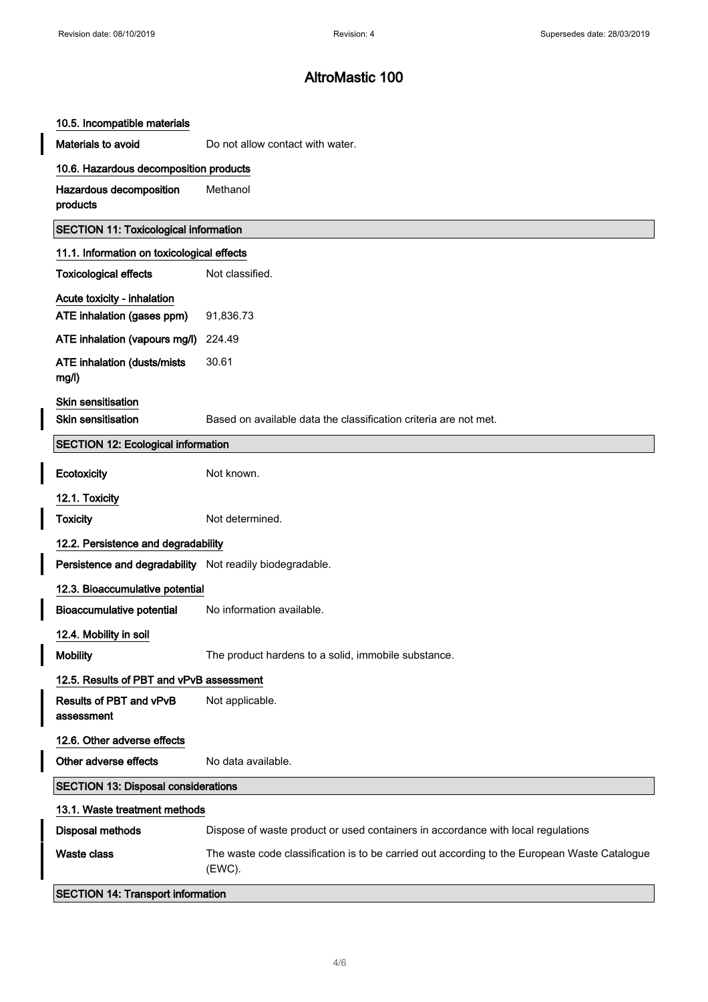I

I

# AltroMastic 100

| 10.5. Incompatible materials                              |                                                                                                        |  |
|-----------------------------------------------------------|--------------------------------------------------------------------------------------------------------|--|
| Materials to avoid                                        | Do not allow contact with water.                                                                       |  |
| 10.6. Hazardous decomposition products                    |                                                                                                        |  |
| Hazardous decomposition<br>products                       | Methanol                                                                                               |  |
| <b>SECTION 11: Toxicological information</b>              |                                                                                                        |  |
| 11.1. Information on toxicological effects                |                                                                                                        |  |
| <b>Toxicological effects</b>                              | Not classified.                                                                                        |  |
| Acute toxicity - inhalation<br>ATE inhalation (gases ppm) | 91,836.73                                                                                              |  |
| ATE inhalation (vapours mg/l)                             | 224.49                                                                                                 |  |
| ATE inhalation (dusts/mists<br>mg/l)                      | 30.61                                                                                                  |  |
| <b>Skin sensitisation</b><br><b>Skin sensitisation</b>    | Based on available data the classification criteria are not met.                                       |  |
| <b>SECTION 12: Ecological information</b>                 |                                                                                                        |  |
| Ecotoxicity                                               | Not known.                                                                                             |  |
| 12.1. Toxicity                                            |                                                                                                        |  |
| <b>Toxicity</b>                                           | Not determined.                                                                                        |  |
| 12.2. Persistence and degradability                       |                                                                                                        |  |
| Persistence and degradability Not readily biodegradable.  |                                                                                                        |  |
| 12.3. Bioaccumulative potential                           |                                                                                                        |  |
| <b>Bioaccumulative potential</b>                          | No information available.                                                                              |  |
| 12.4. Mobility in soil                                    |                                                                                                        |  |
| <b>Mobility</b>                                           | The product hardens to a solid, immobile substance.                                                    |  |
| 12.5. Results of PBT and vPvB assessment                  |                                                                                                        |  |
| Results of PBT and vPvB<br>assessment                     | Not applicable.                                                                                        |  |
| 12.6. Other adverse effects                               |                                                                                                        |  |
| Other adverse effects                                     | No data available.                                                                                     |  |
| <b>SECTION 13: Disposal considerations</b>                |                                                                                                        |  |
| 13.1. Waste treatment methods                             |                                                                                                        |  |
| <b>Disposal methods</b>                                   | Dispose of waste product or used containers in accordance with local regulations                       |  |
| <b>Waste class</b>                                        | The waste code classification is to be carried out according to the European Waste Catalogue<br>(EWC). |  |
| <b>SECTION 14: Transport information</b>                  |                                                                                                        |  |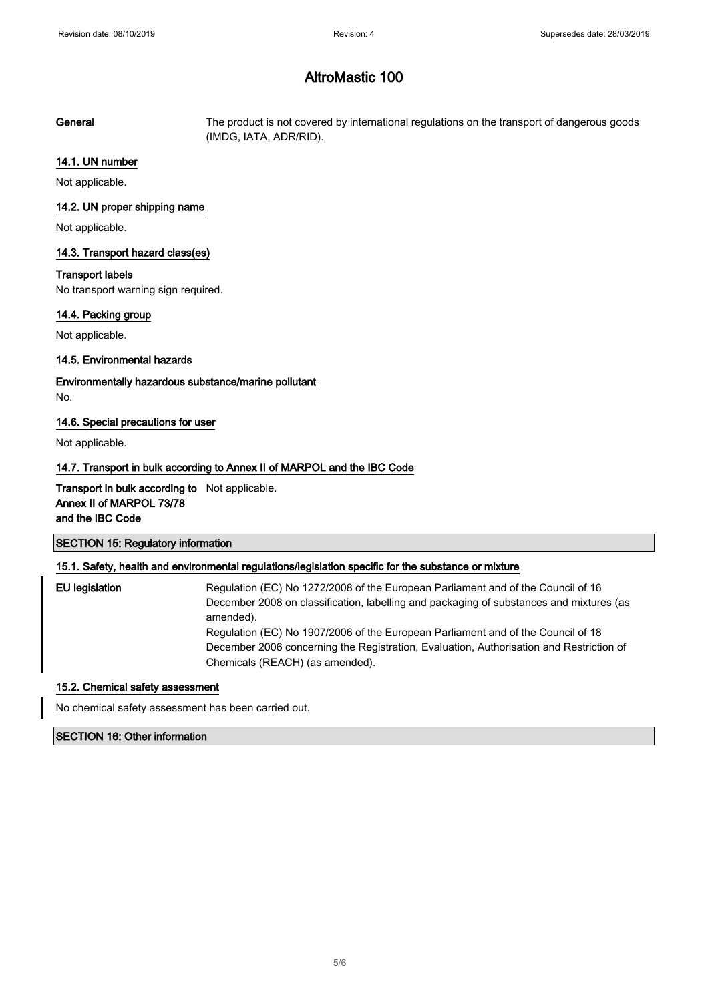## AltroMastic 100

General The product is not covered by international regulations on the transport of dangerous goods (IMDG, IATA, ADR/RID).

#### 14.1. UN number

Not applicable.

#### 14.2. UN proper shipping name

Not applicable.

#### 14.3. Transport hazard class(es)

#### Transport labels

No transport warning sign required.

#### 14.4. Packing group

Not applicable.

### 14.5. Environmental hazards

Environmentally hazardous substance/marine pollutant No.

#### 14.6. Special precautions for user

Not applicable.

#### 14.7. Transport in bulk according to Annex II of MARPOL and the IBC Code

Transport in bulk according to Not applicable. Annex II of MARPOL 73/78 and the IBC Code

#### SECTION 15: Regulatory information

#### 15.1. Safety, health and environmental regulations/legislation specific for the substance or mixture

EU legislation Regulation (EC) No 1272/2008 of the European Parliament and of the Council of 16 December 2008 on classification, labelling and packaging of substances and mixtures (as amended). Regulation (EC) No 1907/2006 of the European Parliament and of the Council of 18 December 2006 concerning the Registration, Evaluation, Authorisation and Restriction of Chemicals (REACH) (as amended).

#### 15.2. Chemical safety assessment

No chemical safety assessment has been carried out.

### SECTION 16: Other information